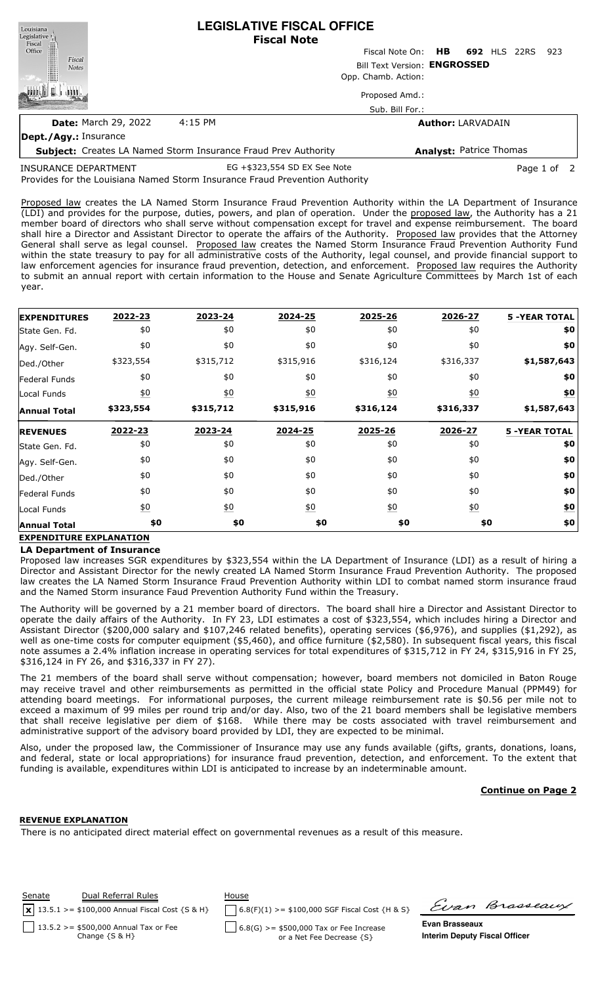| Louisiana<br>Legislative <sup>1</sup> | <b>LEGISLATIVE FISCAL OFFICE</b><br><b>Fiscal Note</b>                |                              |                                 |      |  |  |  |
|---------------------------------------|-----------------------------------------------------------------------|------------------------------|---------------------------------|------|--|--|--|
| Fiscal<br>Office                      |                                                                       |                              | Fiscal Note On: HB 692 HLS 22RS | -923 |  |  |  |
| Fiscal<br><b>Notes</b>                |                                                                       | Bill Text Version: ENGROSSED |                                 |      |  |  |  |
|                                       |                                                                       | Opp. Chamb. Action:          |                                 |      |  |  |  |
|                                       |                                                                       | Proposed Amd.:               |                                 |      |  |  |  |
|                                       |                                                                       | Sub. Bill For.:              |                                 |      |  |  |  |
| <b>Date: March 29, 2022</b>           | 4:15 PM                                                               | <b>Author: LARVADAIN</b>     |                                 |      |  |  |  |
| Dept./Agy.: Insurance                 |                                                                       |                              |                                 |      |  |  |  |
|                                       | <b>Subject:</b> Creates LA Named Storm Insurance Fraud Prev Authority |                              | <b>Analyst: Patrice Thomas</b>  |      |  |  |  |
|                                       |                                                                       |                              |                                 |      |  |  |  |

Provides for the Louisiana Named Storm Insurance Fraud Prevention Authority INSURANCE DEPARTMENT EG +\$323,554 SD EX See Note Page 1 of 2

Proposed law creates the LA Named Storm Insurance Fraud Prevention Authority within the LA Department of Insurance (LDI) and provides for the purpose, duties, powers, and plan of operation. Under the proposed law, the Authority has a 21 member board of directors who shall serve without compensation except for travel and expense reimbursement. The board shall hire a Director and Assistant Director to operate the affairs of the Authority. Proposed law provides that the Attorney General shall serve as legal counsel. Proposed law creates the Named Storm Insurance Fraud Prevention Authority Fund within the state treasury to pay for all administrative costs of the Authority, legal counsel, and provide financial support to law enforcement agencies for insurance fraud prevention, detection, and enforcement. Proposed law requires the Authority to submit an annual report with certain information to the House and Senate Agriculture Committees by March 1st of each year.

| <b>EXPENDITURES</b> | 2022-23           | 2023-24          | 2024-25          | 2025-26          | 2026-27          | <b>5 -YEAR TOTAL</b> |
|---------------------|-------------------|------------------|------------------|------------------|------------------|----------------------|
| State Gen. Fd.      | \$0               | \$0              | \$0              | \$0              | \$0              | \$0                  |
| Agy. Self-Gen.      | \$0               | \$0              | \$0              | \$0              | \$0              | \$0                  |
| Ded./Other          | \$323,554         | \$315,712        | \$315,916        | \$316,124        | \$316,337        | \$1,587,643          |
| Federal Funds       | \$0               | \$0              | \$0              | \$0              | \$0              | \$0                  |
| Local Funds         | $\underline{\$0}$ | 60               | $\underline{50}$ | $\underline{50}$ | $\underline{50}$ | <u>\$0</u>           |
| <b>Annual Total</b> | \$323,554         | \$315,712        | \$315,916        | \$316,124        | \$316,337        | \$1,587,643          |
| <b>REVENUES</b>     | 2022-23           | 2023-24          | 2024-25          | 2025-26          | 2026-27          | <b>5 -YEAR TOTAL</b> |
| State Gen. Fd.      | \$0               | \$0              | \$0              | \$0              | \$0              | \$0                  |
| Agy. Self-Gen.      | \$0               | \$0              | \$0              | \$0              | \$0              | \$0                  |
| Ded./Other          | \$0               | \$0              | \$0              | \$0              | \$0              | \$0                  |
| Federal Funds       | \$0               | \$0              | \$0              | \$0              | \$0              | \$0                  |
| Local Funds         | $\underline{50}$  | $\underline{50}$ | $\underline{50}$ | $\underline{50}$ | $\underline{50}$ | <u>\$0</u>           |
| <b>Annual Total</b> | \$0               | \$0              | \$0              | \$0              | \$0              | \$0                  |

# **EXPENDITURE EXPLANATION**

### **LA Department of Insurance**

Proposed law increases SGR expenditures by \$323,554 within the LA Department of Insurance (LDI) as a result of hiring a Director and Assistant Director for the newly created LA Named Storm Insurance Fraud Prevention Authority. The proposed law creates the LA Named Storm Insurance Fraud Prevention Authority within LDI to combat named storm insurance fraud and the Named Storm insurance Faud Prevention Authority Fund within the Treasury.

The Authority will be governed by a 21 member board of directors. The board shall hire a Director and Assistant Director to operate the daily affairs of the Authority. In FY 23, LDI estimates a cost of \$323,554, which includes hiring a Director and Assistant Director (\$200,000 salary and \$107,246 related benefits), operating services (\$6,976), and supplies (\$1,292), as well as one-time costs for computer equipment (\$5,460), and office furniture (\$2,580). In subsequent fiscal years, this fiscal note assumes a 2.4% inflation increase in operating services for total expenditures of \$315,712 in FY 24, \$315,916 in FY 25, \$316,124 in FY 26, and \$316,337 in FY 27).

The 21 members of the board shall serve without compensation; however, board members not domiciled in Baton Rouge may receive travel and other reimbursements as permitted in the official state Policy and Procedure Manual (PPM49) for attending board meetings. For informational purposes, the current mileage reimbursement rate is \$0.56 per mile not to exceed a maximum of 99 miles per round trip and/or day. Also, two of the 21 board members shall be legislative members that shall receive legislative per diem of \$168. While there may be costs associated with travel reimbursement and administrative support of the advisory board provided by LDI, they are expected to be minimal.

Also, under the proposed law, the Commissioner of Insurance may use any funds available (gifts, grants, donations, loans, and federal, state or local appropriations) for insurance fraud prevention, detection, and enforcement. To the extent that funding is available, expenditures within LDI is anticipated to increase by an indeterminable amount.

## **Continue on Page 2**

### **REVENUE EXPLANATION**

There is no anticipated direct material effect on governmental revenues as a result of this measure.